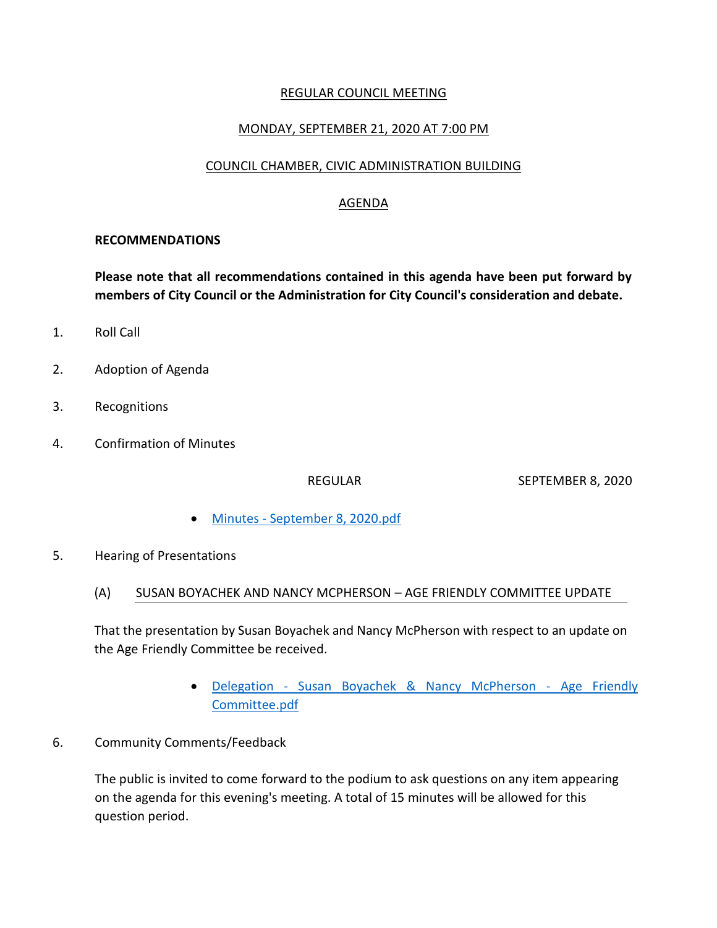# REGULAR COUNCIL MEETING

### MONDAY, SEPTEMBER 21, 2020 AT 7:00 PM

### COUNCIL CHAMBER, CIVIC ADMINISTRATION BUILDING

# AGENDA

#### **RECOMMENDATIONS**

**Please note that all recommendations contained in this agenda have been put forward by members of City Council or the Administration for City Council's consideration and debate.**

- 1. Roll Call
- 2. Adoption of Agenda
- 3. Recognitions
- 4. Confirmation of Minutes

REGULAR SEPTEMBER 8, 2020

- Minutes [September 8, 2020.pdf](https://paperlesscouncil.brandon.ca/attachments/A_2020/COM_WKKKHJJMOHMJCSOMFDINNHGAUAHBZGALTURMPLPVVMVGMAFHKFH_Minutes%20-%20September%208,%202020.pdf)
- 5. Hearing of Presentations

### (A) SUSAN BOYACHEK AND NANCY MCPHERSON – AGE FRIENDLY COMMITTEE UPDATE

That the presentation by Susan Boyachek and Nancy McPherson with respect to an update on the Age Friendly Committee be received.

- Delegation [Susan Boyachek & Nancy McPherson -](https://paperlesscouncil.brandon.ca/attachments/A_2020/HOP_BPWCHKRJGIYZUARCUDKOCMYTMCONQNGBELJOJAHUMIZUJGYBAKB_Delegation%20-%20Susan%20Boyachek%20&%20Nancy%20McPherson%20-%20Age%20Friendly%20Committee.pdf) Age Friendly [Committee.pdf](https://paperlesscouncil.brandon.ca/attachments/A_2020/HOP_BPWCHKRJGIYZUARCUDKOCMYTMCONQNGBELJOJAHUMIZUJGYBAKB_Delegation%20-%20Susan%20Boyachek%20&%20Nancy%20McPherson%20-%20Age%20Friendly%20Committee.pdf)
- 6. Community Comments/Feedback

The public is invited to come forward to the podium to ask questions on any item appearing on the agenda for this evening's meeting. A total of 15 minutes will be allowed for this question period.